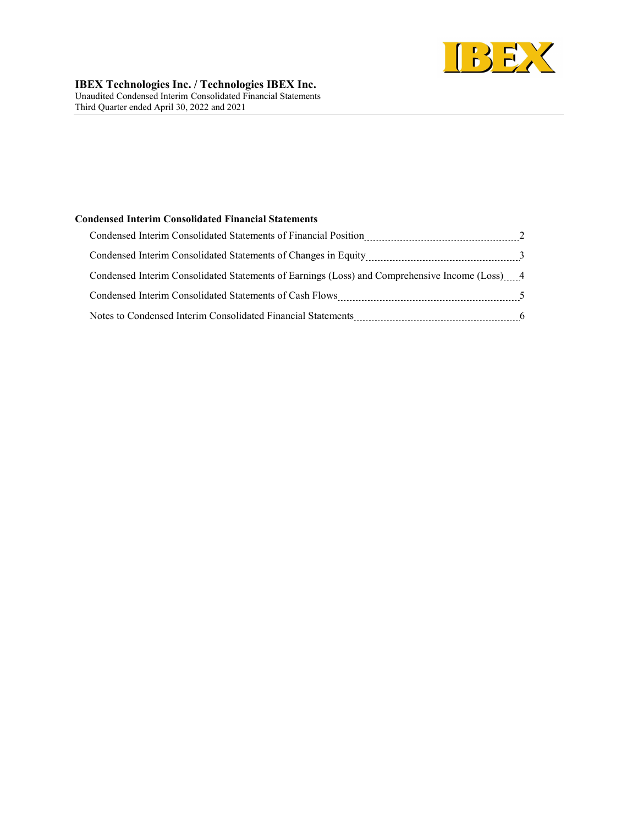

### Condensed Interim Consolidated Financial Statements

| Condensed Interim Consolidated Statements of Earnings (Loss) and Comprehensive Income (Loss) 4 |  |
|------------------------------------------------------------------------------------------------|--|
|                                                                                                |  |
| Notes to Condensed Interim Consolidated Financial Statements                                   |  |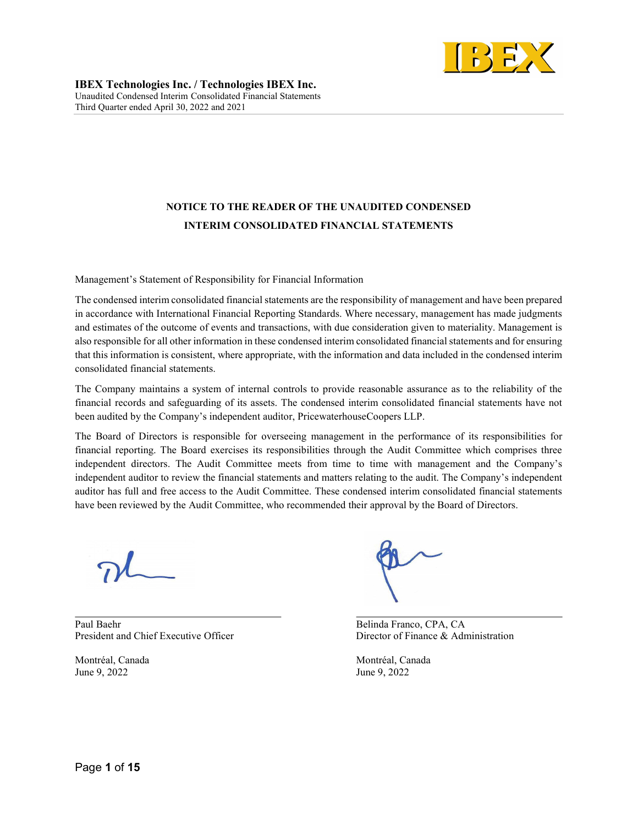

# NOTICE TO THE READER OF THE UNAUDITED CONDENSED INTERIM CONSOLIDATED FINANCIAL STATEMENTS

Management's Statement of Responsibility for Financial Information

The condensed interim consolidated financial statements are the responsibility of management and have been prepared in accordance with International Financial Reporting Standards. Where necessary, management has made judgments and estimates of the outcome of events and transactions, with due consideration given to materiality. Management is also responsible for all other information in these condensed interim consolidated financial statements and for ensuring that this information is consistent, where appropriate, with the information and data included in the condensed interim consolidated financial statements.

The Company maintains a system of internal controls to provide reasonable assurance as to the reliability of the financial records and safeguarding of its assets. The condensed interim consolidated financial statements have not been audited by the Company's independent auditor, PricewaterhouseCoopers LLP.

The Board of Directors is responsible for overseeing management in the performance of its responsibilities for financial reporting. The Board exercises its responsibilities through the Audit Committee which comprises three independent directors. The Audit Committee meets from time to time with management and the Company's independent auditor to review the financial statements and matters relating to the audit. The Company's independent auditor has full and free access to the Audit Committee. These condensed interim consolidated financial statements have been reviewed by the Audit Committee, who recommended their approval by the Board of Directors.

 $\overline{a}$ Paul Baehr Belinda Franco, CPA, CA President and Chief Executive Officer Director of Finance & Administration

June 9, 2022 June 9, 2022

Montréal, Canada Montréal, Canada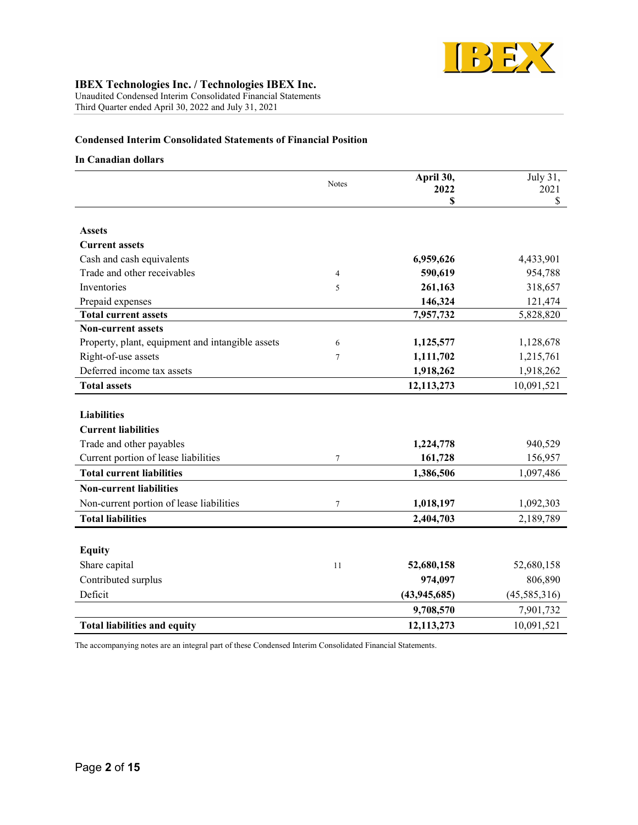

Unaudited Condensed Interim Consolidated Financial Statements Third Quarter ended April 30, 2022 and July 31, 2021

# Condensed Interim Consolidated Statements of Financial Position

#### In Canadian dollars

|                                                  | Notes  | April 30,<br>2022 | July 31,<br>2021 |
|--------------------------------------------------|--------|-------------------|------------------|
|                                                  |        | \$                | \$               |
|                                                  |        |                   |                  |
| <b>Assets</b>                                    |        |                   |                  |
| <b>Current assets</b>                            |        |                   |                  |
| Cash and cash equivalents                        |        | 6,959,626         | 4,433,901        |
| Trade and other receivables                      | 4      | 590,619           | 954,788          |
| Inventories                                      | 5      | 261,163           | 318,657          |
| Prepaid expenses                                 |        | 146,324           | 121,474          |
| <b>Total current assets</b>                      |        | 7,957,732         | 5,828,820        |
| <b>Non-current assets</b>                        |        |                   |                  |
| Property, plant, equipment and intangible assets | 6      | 1,125,577         | 1,128,678        |
| Right-of-use assets                              | 7      | 1,111,702         | 1,215,761        |
| Deferred income tax assets                       |        | 1,918,262         | 1,918,262        |
| <b>Total assets</b>                              |        | 12,113,273        | 10,091,521       |
|                                                  |        |                   |                  |
| <b>Liabilities</b>                               |        |                   |                  |
| <b>Current liabilities</b>                       |        |                   |                  |
| Trade and other payables                         |        | 1,224,778         | 940,529          |
| Current portion of lease liabilities             | $\tau$ | 161,728           | 156,957          |
| <b>Total current liabilities</b>                 |        | 1,386,506         | 1,097,486        |
| <b>Non-current liabilities</b>                   |        |                   |                  |
| Non-current portion of lease liabilities         | $\tau$ | 1,018,197         | 1,092,303        |
| <b>Total liabilities</b>                         |        | 2,404,703         | 2,189,789        |
|                                                  |        |                   |                  |
| <b>Equity</b>                                    |        |                   |                  |
| Share capital                                    | 11     | 52,680,158        | 52,680,158       |
| Contributed surplus                              |        | 974,097           | 806,890          |
| Deficit                                          |        | (43, 945, 685)    | (45,585,316)     |
|                                                  |        | 9,708,570         | 7,901,732        |
| <b>Total liabilities and equity</b>              |        | 12,113,273        | 10,091,521       |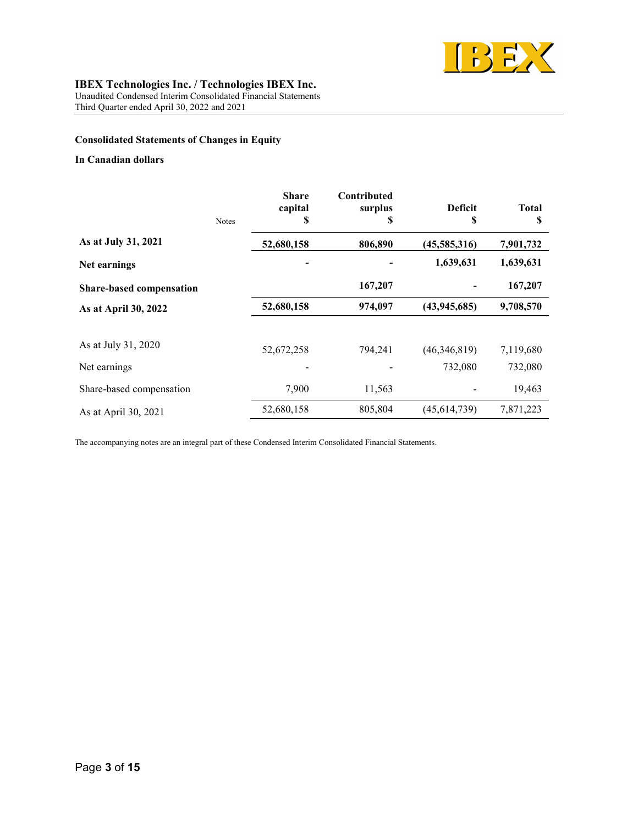

Unaudited Condensed Interim Consolidated Financial Statements Third Quarter ended April 30, 2022 and 2021

# Consolidated Statements of Changes in Equity

### In Canadian dollars

|                          | <b>Notes</b> | <b>Share</b><br>capital<br>\$ | Contributed<br>surplus<br>S | <b>Deficit</b><br>S | <b>Total</b><br>S |
|--------------------------|--------------|-------------------------------|-----------------------------|---------------------|-------------------|
| As at July 31, 2021      |              | 52,680,158                    | 806,890                     | (45,585,316)        | 7,901,732         |
| Net earnings             |              |                               |                             | 1,639,631           | 1,639,631         |
| Share-based compensation |              |                               | 167,207                     |                     | 167,207           |
| As at April 30, 2022     |              | 52,680,158                    | 974,097                     | (43, 945, 685)      | 9,708,570         |
|                          |              |                               |                             |                     |                   |
| As at July 31, 2020      |              | 52,672,258                    | 794,241                     | (46,346,819)        | 7,119,680         |
| Net earnings             |              |                               |                             | 732,080             | 732,080           |
| Share-based compensation |              | 7,900                         | 11,563                      |                     | 19,463            |
| As at April 30, 2021     |              | 52,680,158                    | 805,804                     | (45, 614, 739)      | 7,871,223         |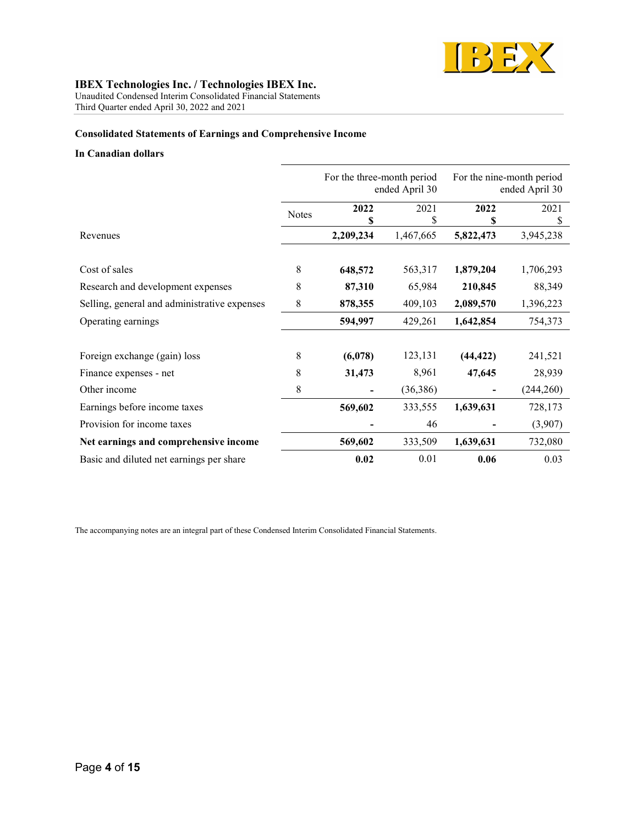

Unaudited Condensed Interim Consolidated Financial Statements Third Quarter ended April 30, 2022 and 2021

# Consolidated Statements of Earnings and Comprehensive Income

#### In Canadian dollars

|                                              |              | For the three-month period<br>ended April 30 |                 |                 | For the nine-month period<br>ended April 30 |
|----------------------------------------------|--------------|----------------------------------------------|-----------------|-----------------|---------------------------------------------|
|                                              | <b>Notes</b> | 2022                                         | 2021            | 2022            | 2021                                        |
| Revenues                                     |              | \$<br>2,209,234                              | \$<br>1,467,665 | \$<br>5,822,473 | S<br>3,945,238                              |
|                                              |              |                                              |                 |                 |                                             |
| Cost of sales                                | 8            | 648,572                                      | 563,317         | 1,879,204       | 1,706,293                                   |
| Research and development expenses            | 8            | 87,310                                       | 65,984          | 210,845         | 88,349                                      |
| Selling, general and administrative expenses | 8            | 878,355                                      | 409,103         | 2,089,570       | 1,396,223                                   |
| Operating earnings                           |              | 594,997                                      | 429,261         | 1,642,854       | 754,373                                     |
|                                              |              |                                              |                 |                 |                                             |
| Foreign exchange (gain) loss                 | 8            | (6,078)                                      | 123,131         | (44, 422)       | 241,521                                     |
| Finance expenses - net                       | 8            | 31,473                                       | 8,961           | 47,645          | 28,939                                      |
| Other income                                 | 8            |                                              | (36,386)        |                 | (244,260)                                   |
| Earnings before income taxes                 |              | 569,602                                      | 333,555         | 1,639,631       | 728,173                                     |
| Provision for income taxes                   |              |                                              | 46              |                 | (3,907)                                     |
| Net earnings and comprehensive income        |              | 569,602                                      | 333,509         | 1,639,631       | 732,080                                     |
| Basic and diluted net earnings per share     |              | 0.02                                         | 0.01            | 0.06            | 0.03                                        |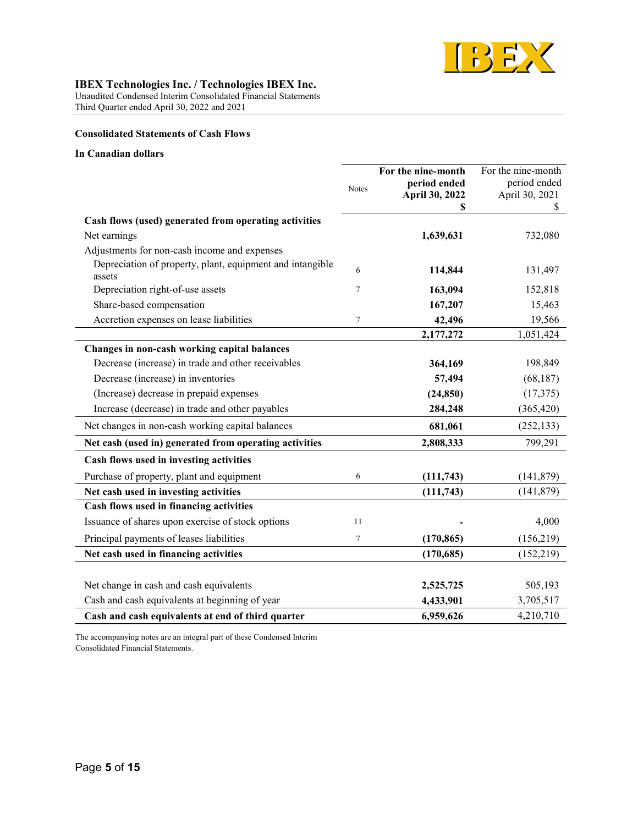

Unaudited Condensed Interim Consolidated Financial Statements Third Quarter ended April 30, 2022 and 2021

# Consolidated Statements of Cash Flows

#### In Canadian dollars

|                                                                     | <b>Notes</b> | For the nine-month<br>period ended | For the nine-month<br>period ended |
|---------------------------------------------------------------------|--------------|------------------------------------|------------------------------------|
|                                                                     |              | April 30, 2022                     | April 30, 2021<br>S                |
| Cash flows (used) generated from operating activities               |              |                                    |                                    |
| Net earnings                                                        |              | 1,639,631                          | 732,080                            |
| Adjustments for non-cash income and expenses                        |              |                                    |                                    |
| Depreciation of property, plant, equipment and intangible<br>assets | 6            | 114,844                            | 131,497                            |
| Depreciation right-of-use assets                                    | 7            | 163,094                            | 152,818                            |
| Share-based compensation                                            |              | 167,207                            | 15,463                             |
| Accretion expenses on lease liabilities                             | $\tau$       | 42,496                             | 19,566                             |
|                                                                     |              | 2,177,272                          | 1,051,424                          |
| Changes in non-cash working capital balances                        |              |                                    |                                    |
| Decrease (increase) in trade and other receivables                  |              | 364,169                            | 198,849                            |
| Decrease (increase) in inventories                                  |              | 57,494                             | (68, 187)                          |
| (Increase) decrease in prepaid expenses                             |              | (24, 850)                          | (17,375)                           |
| Increase (decrease) in trade and other payables                     |              | 284,248                            | (365, 420)                         |
| Net changes in non-cash working capital balances                    |              | 681,061                            | (252, 133)                         |
| Net cash (used in) generated from operating activities              |              | 2,808,333                          | 799,291                            |
| Cash flows used in investing activities                             |              |                                    |                                    |
| Purchase of property, plant and equipment                           | 6            | (111,743)                          | (141, 879)                         |
| Net cash used in investing activities                               |              | (111,743)                          | (141, 879)                         |
| Cash flows used in financing activities                             |              |                                    |                                    |
| Issuance of shares upon exercise of stock options                   | 11           |                                    | 4,000                              |
| Principal payments of leases liabilities                            | 7            | (170, 865)                         | (156,219)                          |
| Net cash used in financing activities                               |              | (170, 685)                         | (152, 219)                         |
|                                                                     |              |                                    |                                    |
| Net change in cash and cash equivalents                             |              | 2,525,725                          | 505,193                            |
| Cash and cash equivalents at beginning of year                      |              | 4,433,901                          | 3,705,517                          |
| Cash and cash equivalents at end of third quarter                   |              | 6,959,626                          | 4,210,710                          |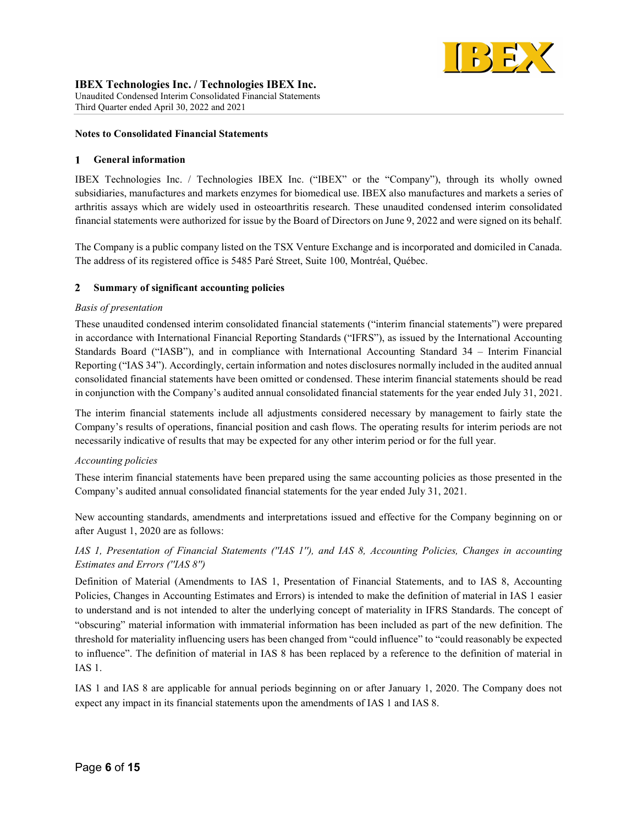

### Notes to Consolidated Financial Statements

#### General information  $\mathbf{1}$

IBEX Technologies Inc. / Technologies IBEX Inc. ("IBEX" or the "Company"), through its wholly owned subsidiaries, manufactures and markets enzymes for biomedical use. IBEX also manufactures and markets a series of arthritis assays which are widely used in osteoarthritis research. These unaudited condensed interim consolidated financial statements were authorized for issue by the Board of Directors on June 9, 2022 and were signed on its behalf.

The Company is a public company listed on the TSX Venture Exchange and is incorporated and domiciled in Canada. The address of its registered office is 5485 Paré Street, Suite 100, Montréal, Québec.

#### $\mathbf{2}$ Summary of significant accounting policies

### Basis of presentation

These unaudited condensed interim consolidated financial statements ("interim financial statements") were prepared in accordance with International Financial Reporting Standards ("IFRS"), as issued by the International Accounting Standards Board ("IASB"), and in compliance with International Accounting Standard 34 – Interim Financial Reporting ("IAS 34"). Accordingly, certain information and notes disclosures normally included in the audited annual consolidated financial statements have been omitted or condensed. These interim financial statements should be read in conjunction with the Company's audited annual consolidated financial statements for the year ended July 31, 2021.

The interim financial statements include all adjustments considered necessary by management to fairly state the Company's results of operations, financial position and cash flows. The operating results for interim periods are not necessarily indicative of results that may be expected for any other interim period or for the full year.

### Accounting policies

These interim financial statements have been prepared using the same accounting policies as those presented in the Company's audited annual consolidated financial statements for the year ended July 31, 2021.

New accounting standards, amendments and interpretations issued and effective for the Company beginning on or after August 1, 2020 are as follows:

# IAS 1, Presentation of Financial Statements (''IAS 1''), and IAS 8, Accounting Policies, Changes in accounting Estimates and Errors (''IAS 8'')

Definition of Material (Amendments to IAS 1, Presentation of Financial Statements, and to IAS 8, Accounting Policies, Changes in Accounting Estimates and Errors) is intended to make the definition of material in IAS 1 easier to understand and is not intended to alter the underlying concept of materiality in IFRS Standards. The concept of "obscuring" material information with immaterial information has been included as part of the new definition. The threshold for materiality influencing users has been changed from "could influence" to "could reasonably be expected to influence". The definition of material in IAS 8 has been replaced by a reference to the definition of material in IAS 1.

IAS 1 and IAS 8 are applicable for annual periods beginning on or after January 1, 2020. The Company does not expect any impact in its financial statements upon the amendments of IAS 1 and IAS 8.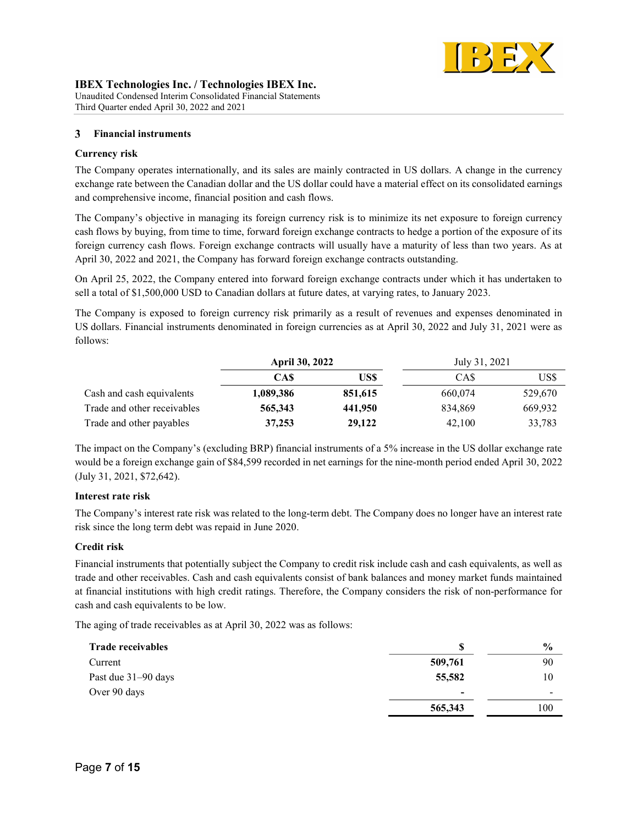

Third Quarter ended April 30, 2022 and 2021

#### Financial instruments  $3<sup>1</sup>$

## Currency risk

The Company operates internationally, and its sales are mainly contracted in US dollars. A change in the currency exchange rate between the Canadian dollar and the US dollar could have a material effect on its consolidated earnings and comprehensive income, financial position and cash flows.

The Company's objective in managing its foreign currency risk is to minimize its net exposure to foreign currency cash flows by buying, from time to time, forward foreign exchange contracts to hedge a portion of the exposure of its foreign currency cash flows. Foreign exchange contracts will usually have a maturity of less than two years. As at April 30, 2022 and 2021, the Company has forward foreign exchange contracts outstanding.

On April 25, 2022, the Company entered into forward foreign exchange contracts under which it has undertaken to sell a total of \$1,500,000 USD to Canadian dollars at future dates, at varying rates, to January 2023.

The Company is exposed to foreign currency risk primarily as a result of revenues and expenses denominated in US dollars. Financial instruments denominated in foreign currencies as at April 30, 2022 and July 31, 2021 were as follows:

|                             | <b>April 30, 2022</b> |         | July 31, 2021 |         |
|-----------------------------|-----------------------|---------|---------------|---------|
|                             | CA\$                  | USS     | CA\$          | US\$    |
| Cash and cash equivalents   | 1,089,386             | 851,615 | 660,074       | 529,670 |
| Trade and other receivables | 565,343               | 441,950 | 834.869       | 669,932 |
| Trade and other payables    | 37,253                | 29,122  | 42,100        | 33,783  |

The impact on the Company's (excluding BRP) financial instruments of a 5% increase in the US dollar exchange rate would be a foreign exchange gain of \$84,599 recorded in net earnings for the nine-month period ended April 30, 2022 (July 31, 2021, \$72,642).

# Interest rate risk

The Company's interest rate risk was related to the long-term debt. The Company does no longer have an interest rate risk since the long term debt was repaid in June 2020.

# Credit risk

Financial instruments that potentially subject the Company to credit risk include cash and cash equivalents, as well as trade and other receivables. Cash and cash equivalents consist of bank balances and money market funds maintained at financial institutions with high credit ratings. Therefore, the Company considers the risk of non-performance for cash and cash equivalents to be low.

The aging of trade receivables as at April 30, 2022 was as follows:

| <b>Trade receivables</b> |                          | $\frac{6}{6}$ |
|--------------------------|--------------------------|---------------|
| Current                  | 509,761                  | 90            |
| Past due 31–90 days      | 55,582                   | 10            |
| Over 90 days             | $\overline{\phantom{0}}$ |               |
|                          | 565,343                  | 100           |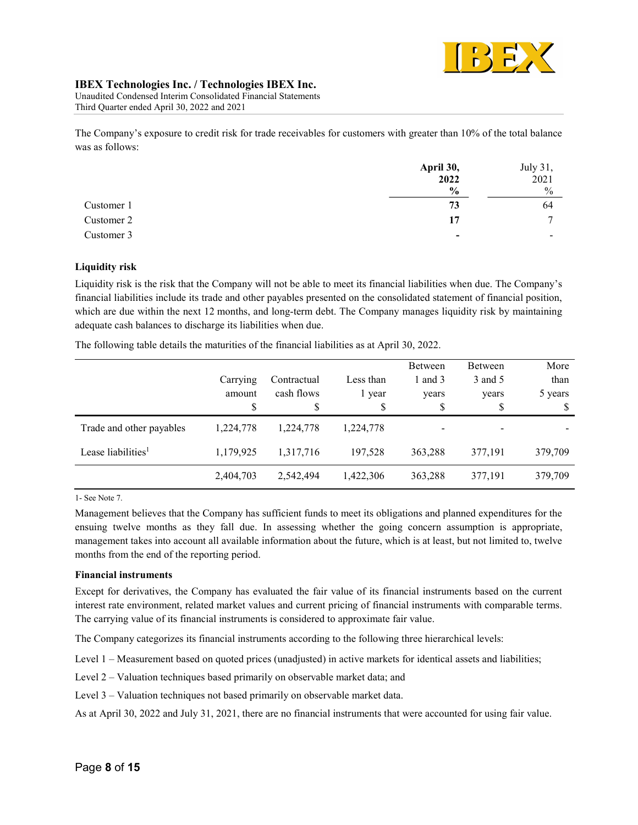

Unaudited Condensed Interim Consolidated Financial Statements Third Quarter ended April 30, 2022 and 2021

The Company's exposure to credit risk for trade receivables for customers with greater than 10% of the total balance was as follows:

|            | April 30,                | July 31,       |
|------------|--------------------------|----------------|
|            | 2022                     | 2021           |
|            | $\frac{6}{9}$            | $\frac{0}{0}$  |
| Customer 1 | 73                       | 64             |
| Customer 2 | 17                       | $\overline{ }$ |
| Customer 3 | $\overline{\phantom{0}}$ |                |

# Liquidity risk

Liquidity risk is the risk that the Company will not be able to meet its financial liabilities when due. The Company's financial liabilities include its trade and other payables presented on the consolidated statement of financial position, which are due within the next 12 months, and long-term debt. The Company manages liquidity risk by maintaining adequate cash balances to discharge its liabilities when due.

The following table details the maturities of the financial liabilities as at April 30, 2022.

|                                | Carrying<br>amount<br>S | Contractual<br>cash flows<br>\$ | Less than<br>1 year<br>\$ | Between<br>1 and $3$<br>years<br>Φ | Between<br>3 and 5<br>years<br>\$ | More<br>than<br>5 years<br>S |
|--------------------------------|-------------------------|---------------------------------|---------------------------|------------------------------------|-----------------------------------|------------------------------|
| Trade and other payables       | 1.224.778               | 1.224.778                       | 1,224,778                 |                                    |                                   |                              |
| Lease liabilities <sup>1</sup> | 1,179,925               | 1,317,716                       | 197,528                   | 363,288                            | 377,191                           | 379,709                      |
|                                | 2,404,703               | 2,542,494                       | 1,422,306                 | 363,288                            | 377,191                           | 379,709                      |

1- See Note 7.

Management believes that the Company has sufficient funds to meet its obligations and planned expenditures for the ensuing twelve months as they fall due. In assessing whether the going concern assumption is appropriate, management takes into account all available information about the future, which is at least, but not limited to, twelve months from the end of the reporting period.

### Financial instruments

Except for derivatives, the Company has evaluated the fair value of its financial instruments based on the current interest rate environment, related market values and current pricing of financial instruments with comparable terms. The carrying value of its financial instruments is considered to approximate fair value.

The Company categorizes its financial instruments according to the following three hierarchical levels:

Level 1 – Measurement based on quoted prices (unadjusted) in active markets for identical assets and liabilities;

Level 2 – Valuation techniques based primarily on observable market data; and

Level 3 – Valuation techniques not based primarily on observable market data.

As at April 30, 2022 and July 31, 2021, there are no financial instruments that were accounted for using fair value.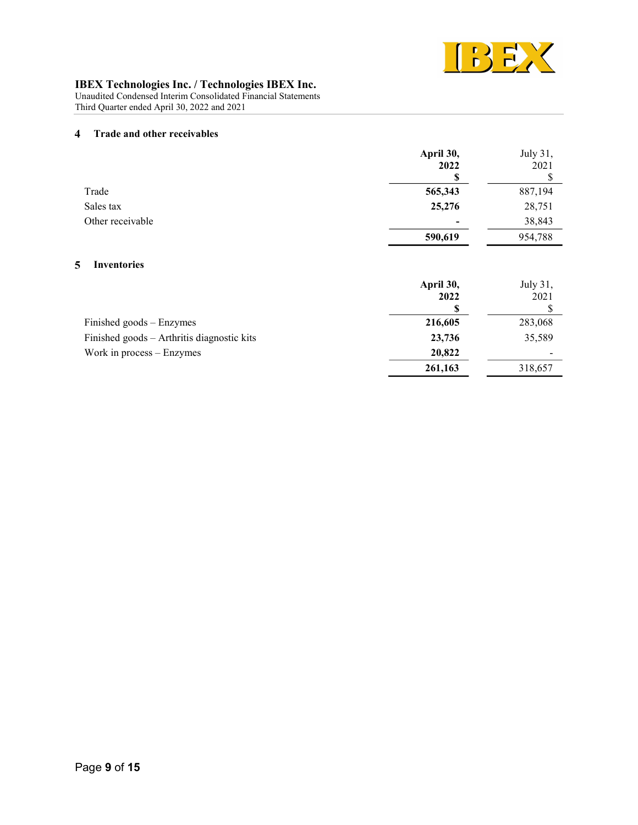

Unaudited Condensed Interim Consolidated Financial Statements Third Quarter ended April 30, 2022 and 2021

#### $\overline{\mathbf{4}}$ Trade and other receivables

|                  | April 30,                | July 31, |
|------------------|--------------------------|----------|
|                  | 2022                     | 2021     |
|                  | \$                       |          |
| Trade            | 565,343                  | 887,194  |
| Sales tax        | 25,276                   | 28,751   |
| Other receivable | $\overline{\phantom{a}}$ | 38,843   |
|                  | 590,619                  | 954,788  |

# 5 Inventories

|                                            | April 30, | July 31, |
|--------------------------------------------|-----------|----------|
|                                            | 2022      | 2021     |
|                                            |           |          |
| Finished goods – Enzymes                   | 216,605   | 283,068  |
| Finished goods – Arthritis diagnostic kits | 23,736    | 35,589   |
| Work in process $-$ Enzymes                | 20,822    |          |
|                                            | 261,163   | 318,657  |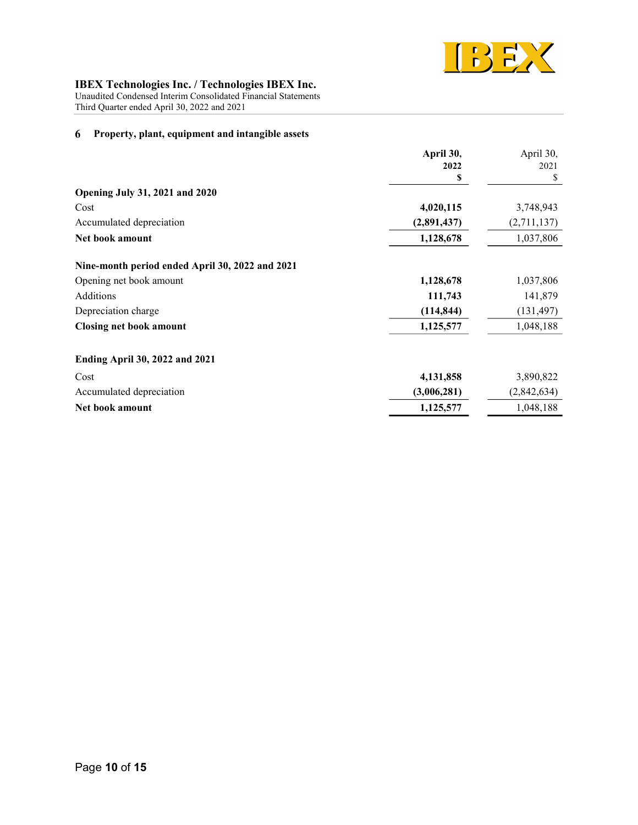

Unaudited Condensed Interim Consolidated Financial Statements

Third Quarter ended April 30, 2022 and 2021

#### Property, plant, equipment and intangible assets 6

|                                                 | April 30,   | April 30,   |
|-------------------------------------------------|-------------|-------------|
|                                                 | 2022        | 2021        |
|                                                 | S           | \$          |
| <b>Opening July 31, 2021 and 2020</b>           |             |             |
| Cost                                            | 4,020,115   | 3,748,943   |
| Accumulated depreciation                        | (2,891,437) | (2,711,137) |
| Net book amount                                 | 1,128,678   | 1,037,806   |
| Nine-month period ended April 30, 2022 and 2021 |             |             |
| Opening net book amount                         | 1,128,678   | 1,037,806   |
| Additions                                       | 111,743     | 141,879     |
| Depreciation charge                             | (114, 844)  | (131, 497)  |
| <b>Closing net book amount</b>                  | 1,125,577   | 1,048,188   |
| <b>Ending April 30, 2022 and 2021</b>           |             |             |
| Cost                                            | 4,131,858   | 3,890,822   |
| Accumulated depreciation                        | (3,006,281) | (2,842,634) |
| Net book amount                                 | 1,125,577   | 1,048,188   |
|                                                 |             |             |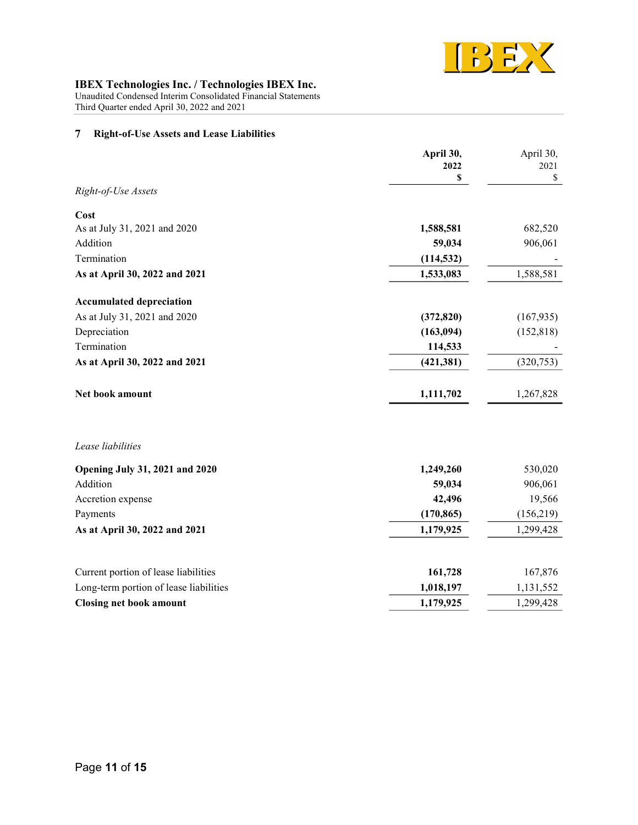

Unaudited Condensed Interim Consolidated Financial Statements Third Quarter ended April 30, 2022 and 2021

#### Right-of-Use Assets and Lease Liabilities  $\overline{7}$

|                                        | April 30,<br>2022<br>\$ | April 30,<br>2021<br>\$ |
|----------------------------------------|-------------------------|-------------------------|
| Right-of-Use Assets                    |                         |                         |
| Cost                                   |                         |                         |
| As at July 31, 2021 and 2020           | 1,588,581               | 682,520                 |
| Addition                               | 59,034                  | 906,061                 |
| Termination                            | (114, 532)              |                         |
| As at April 30, 2022 and 2021          | 1,533,083               | 1,588,581               |
| <b>Accumulated depreciation</b>        |                         |                         |
| As at July 31, 2021 and 2020           | (372, 820)              | (167, 935)              |
| Depreciation                           | (163, 094)              | (152, 818)              |
| Termination                            | 114,533                 |                         |
| As at April 30, 2022 and 2021          | (421, 381)              | (320, 753)              |
| Net book amount                        | 1,111,702               | 1,267,828               |
| Lease liabilities                      |                         |                         |
| <b>Opening July 31, 2021 and 2020</b>  | 1,249,260               | 530,020                 |
| Addition                               | 59,034                  | 906,061                 |
| Accretion expense                      | 42,496                  | 19,566                  |
| Payments                               | (170, 865)              | (156, 219)              |
| As at April 30, 2022 and 2021          | 1,179,925               | 1,299,428               |
| Current portion of lease liabilities   | 161,728                 | 167,876                 |
| Long-term portion of lease liabilities | 1,018,197               | 1,131,552               |
| <b>Closing net book amount</b>         | 1,179,925               | 1,299,428               |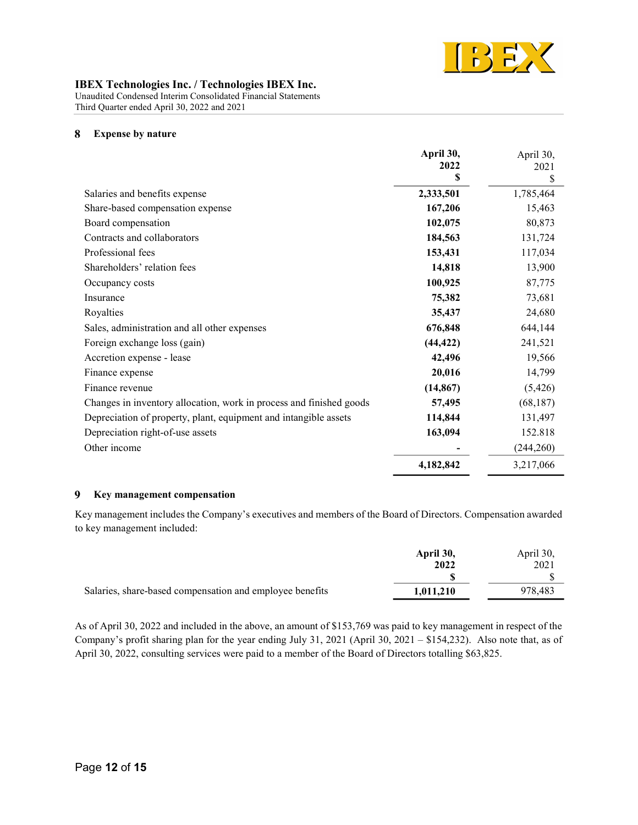

Unaudited Condensed Interim Consolidated Financial Statements Third Quarter ended April 30, 2022 and 2021

#### 8 Expense by nature

|                                                                     | April 30, | April 30, |
|---------------------------------------------------------------------|-----------|-----------|
|                                                                     | 2022      | 2021      |
|                                                                     | \$        | \$        |
| Salaries and benefits expense                                       | 2,333,501 | 1,785,464 |
| Share-based compensation expense                                    | 167,206   | 15,463    |
| Board compensation                                                  | 102,075   | 80,873    |
| Contracts and collaborators                                         | 184,563   | 131,724   |
| Professional fees                                                   | 153,431   | 117,034   |
| Shareholders' relation fees                                         | 14,818    | 13,900    |
| Occupancy costs                                                     | 100,925   | 87,775    |
| Insurance                                                           | 75,382    | 73,681    |
| Royalties                                                           | 35,437    | 24,680    |
| Sales, administration and all other expenses                        | 676,848   | 644,144   |
| Foreign exchange loss (gain)                                        | (44, 422) | 241,521   |
| Accretion expense - lease                                           | 42,496    | 19,566    |
| Finance expense                                                     | 20,016    | 14,799    |
| Finance revenue                                                     | (14, 867) | (5, 426)  |
| Changes in inventory allocation, work in process and finished goods | 57,495    | (68, 187) |
| Depreciation of property, plant, equipment and intangible assets    | 114,844   | 131,497   |
| Depreciation right-of-use assets                                    | 163,094   | 152.818   |
| Other income                                                        |           | (244,260) |
|                                                                     | 4,182,842 | 3,217,066 |

#### $9<sup>1</sup>$ Key management compensation

Key management includes the Company's executives and members of the Board of Directors. Compensation awarded to key management included:

|                                                          | April 30, | April 30, |
|----------------------------------------------------------|-----------|-----------|
|                                                          | 2022      | 2021      |
|                                                          |           |           |
| Salaries, share-based compensation and employee benefits | 1,011,210 | 978.483   |

As of April 30, 2022 and included in the above, an amount of \$153,769 was paid to key management in respect of the Company's profit sharing plan for the year ending July 31, 2021 (April 30, 2021 – \$154,232). Also note that, as of April 30, 2022, consulting services were paid to a member of the Board of Directors totalling \$63,825.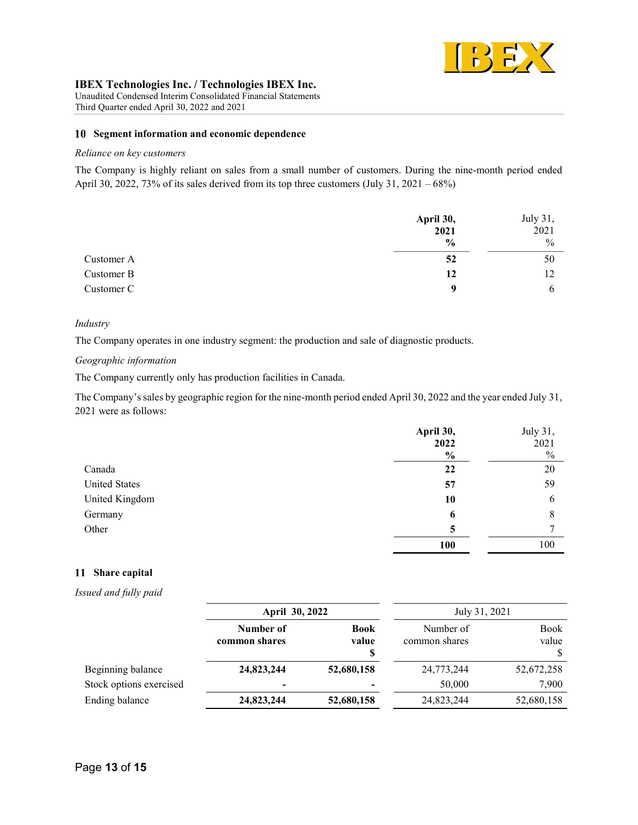

Unaudited Condensed Interim Consolidated Financial Statements Third Quarter ended April 30, 2022 and 2021

### 10 Segment information and economic dependence

### Reliance on key customers

The Company is highly reliant on sales from a small number of customers. During the nine-month period ended April 30, 2022, 73% of its sales derived from its top three customers (July 31, 2021 – 68%)

|            | April 30,     | July 31,      |
|------------|---------------|---------------|
|            | 2021          | 2021          |
|            | $\frac{0}{0}$ | $\frac{0}{0}$ |
| Customer A | 52            | 50            |
| Customer B | 12            | 12            |
| Customer C | $\mathbf o$   |               |

#### Industry

The Company operates in one industry segment: the production and sale of diagnostic products.

# Geographic information

The Company currently only has production facilities in Canada.

The Company's sales by geographic region for the nine-month period ended April 30, 2022 and the year ended July 31, 2021 were as follows:

|                      | April 30,<br>2022 | July 31,<br>2021 |
|----------------------|-------------------|------------------|
|                      | $\frac{0}{0}$     | $\frac{0}{0}$    |
| Canada               | 22                | 20               |
| <b>United States</b> | 57                | 59               |
| United Kingdom       | 10                | 6                |
| Germany              | 6                 | 8                |
| Other                | 5                 |                  |
|                      | <b>100</b>        | 100              |

# 11 Share capital

Issued and fully paid

|                         | April 30, 2022             |                            | July 31, 2021              |                           |
|-------------------------|----------------------------|----------------------------|----------------------------|---------------------------|
|                         | Number of<br>common shares | <b>Book</b><br>value<br>\$ | Number of<br>common shares | <b>Book</b><br>value<br>S |
| Beginning balance       | 24,823,244                 | 52,680,158                 | 24,773,244                 | 52,672,258                |
| Stock options exercised | $\overline{\phantom{0}}$   | $\overline{\phantom{0}}$   | 50,000                     | 7,900                     |
| Ending balance          | 24,823,244                 | 52,680,158                 | 24,823,244                 | 52,680,158                |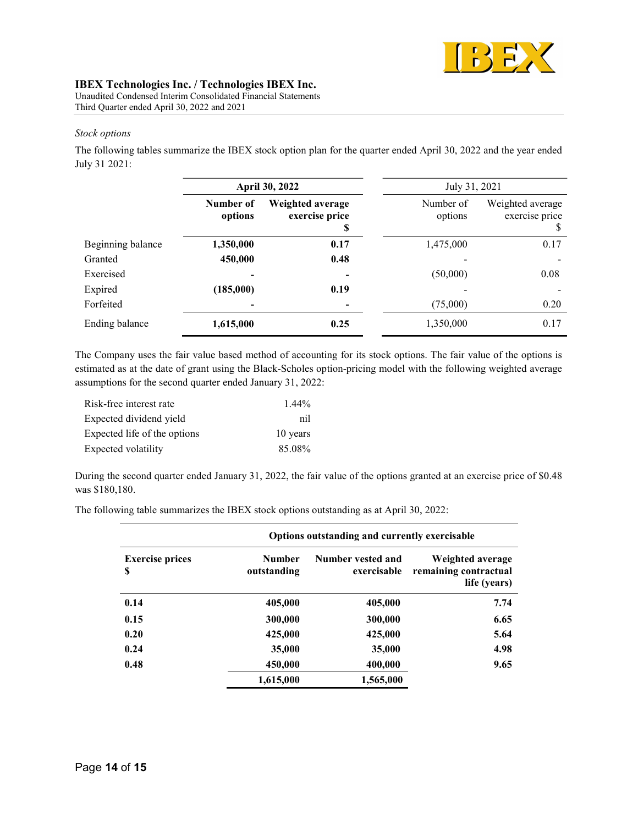

Unaudited Condensed Interim Consolidated Financial Statements Third Quarter ended April 30, 2022 and 2021

### Stock options

The following tables summarize the IBEX stock option plan for the quarter ended April 30, 2022 and the year ended July 31 2021:

|                   | April 30, 2022       |                                    |                      | July 31, 2021                                      |
|-------------------|----------------------|------------------------------------|----------------------|----------------------------------------------------|
|                   | Number of<br>options | Weighted average<br>exercise price | Number of<br>options | Weighted average<br>exercise price<br><sup>8</sup> |
| Beginning balance | 1,350,000            | 0.17                               | 1,475,000            | 0.17                                               |
| Granted           | 450,000              | 0.48                               |                      |                                                    |
| Exercised         |                      |                                    | (50,000)             | 0.08                                               |
| Expired           | (185,000)            | 0.19                               |                      |                                                    |
| Forfeited         |                      |                                    | (75,000)             | 0.20                                               |
| Ending balance    | 1,615,000            | 0.25                               | 1,350,000            | 0.17                                               |

The Company uses the fair value based method of accounting for its stock options. The fair value of the options is estimated as at the date of grant using the Black-Scholes option-pricing model with the following weighted average assumptions for the second quarter ended January 31, 2022:

| Risk-free interest rate      | $1.44\%$ |
|------------------------------|----------|
| Expected dividend yield      | nil      |
| Expected life of the options | 10 years |
| Expected volatility          | 85.08%   |

During the second quarter ended January 31, 2022, the fair value of the options granted at an exercise price of \$0.48 was \$180,180.

The following table summarizes the IBEX stock options outstanding as at April 30, 2022:

|                             | Options outstanding and currently exercisable |                                  |                                                           |  |
|-----------------------------|-----------------------------------------------|----------------------------------|-----------------------------------------------------------|--|
| <b>Exercise prices</b><br>S | <b>Number</b><br>outstanding                  | Number vested and<br>exercisable | Weighted average<br>remaining contractual<br>life (years) |  |
| 0.14                        | 405,000                                       | 405,000                          | 7.74                                                      |  |
| 0.15                        | 300,000                                       | 300,000                          | 6.65                                                      |  |
| 0.20                        | 425,000                                       | 425,000                          | 5.64                                                      |  |
| 0.24                        | 35,000                                        | 35,000                           | 4.98                                                      |  |
| 0.48                        | 450,000                                       | 400,000                          | 9.65                                                      |  |
|                             | 1,615,000                                     | 1,565,000                        |                                                           |  |